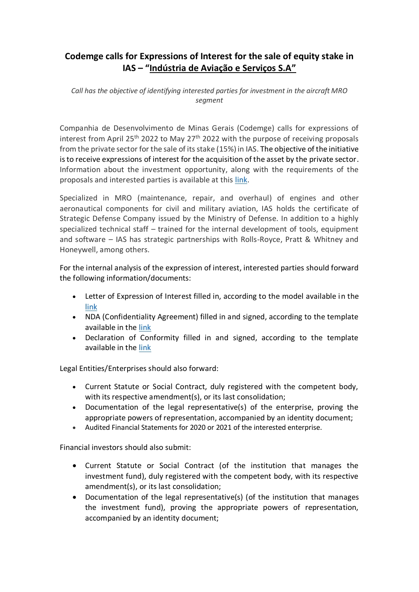## **Codemge calls for Expressions of Interest for the sale of equity stake in IAS – "Indústria de Aviação e Serviços S.A"**

*Call has the objective of identifying interested parties for investment in the aircraft MRO segment*

Companhia de Desenvolvimento de Minas Gerais (Codemge) calls for expressions of interest from April 25<sup>th</sup> 2022 to May 27<sup>th</sup> 2022 with the purpose of receiving proposals from the private sector for the sale of its stake (15%) in IAS. The objective of the initiative is to receive expressions of interest for the acquisition of the asset by the private sector. Information about the investment opportunity, along with the requirements of the proposals and interested parties is available at this [link.](http://www.codemge.com.br/wp-content/uploads/2022/04/2022.04.19-teaser-ias-aprovado.pdf)

Specialized in MRO (maintenance, repair, and overhaul) of engines and other aeronautical components for civil and military aviation, IAS holds the certificate of Strategic Defense Company issued by the Ministry of Defense. In addition to a highly specialized technical staff – trained for the internal development of tools, equipment and software – IAS has strategic partnerships with Rolls-Royce, Pratt & Whitney and Honeywell, among others.

For the internal analysis of the expression of interest, interested parties should forward the following information/documents:

- Letter of Expression of Interest filled in, according to the model available in the [link](http://www.codemge.com.br/wp-content/uploads/2022/04/2022.04.19-manifestacao-de-interesse-ias-aprovado.docx)
- NDA (Confidentiality Agreement) filled in and signed, according to the template available in the [link](http://www.codemge.com.br/wp-content/uploads/2022/04/2022.04.19-certificado-de-conformidade-ias-aprovado.docx)
- Declaration of Conformity filled in and signed, according to the template available in the [link](http://www.codemge.com.br/wp-content/uploads/2022/04/2022.04.19-certificado-de-conformidade-ias-aprovado.docx)

Legal Entities/Enterprises should also forward:

- Current Statute or Social Contract, duly registered with the competent body, with its respective amendment(s), or its last consolidation;
- Documentation of the legal representative(s) of the enterprise, proving the appropriate powers of representation, accompanied by an identity document;
- Audited Financial Statements for 2020 or 2021 of the interested enterprise.

Financial investors should also submit:

- Current Statute or Social Contract (of the institution that manages the investment fund), duly registered with the competent body, with its respective amendment(s), or its last consolidation;
- Documentation of the legal representative(s) (of the institution that manages the investment fund), proving the appropriate powers of representation, accompanied by an identity document;